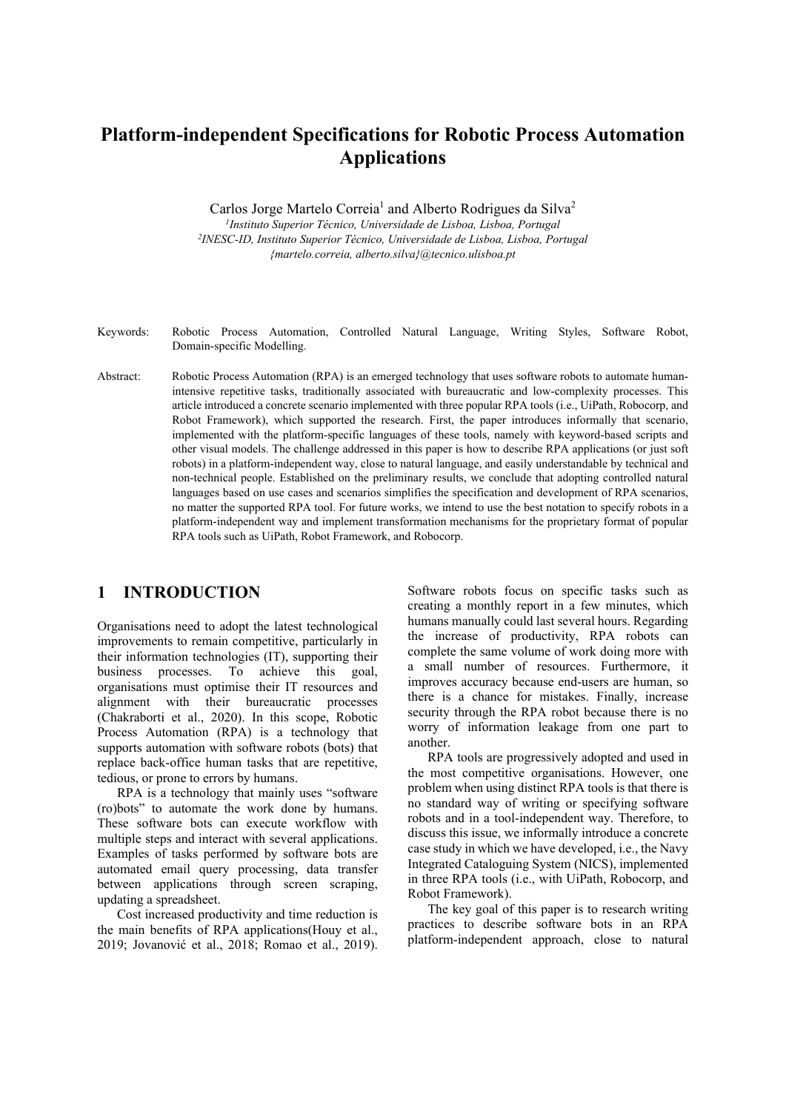# **Platform-independent Specifications for Robotic Process Automation Applications**

Carlos Jorge Martelo Correia<sup>1</sup> and Alberto Rodrigues da Silva<sup>2</sup>

*1Instituto Superior Técnico, Universidade de Lisboa, Lisboa, Portugal 2INESC-ID, Instituto Superior Técnico, Universidade de Lisboa, Lisboa, Portugal {martelo.correia, alberto.silva}@tecnico.ulisboa.pt* 

- Keywords: Robotic Process Automation, Controlled Natural Language, Writing Styles, Software Robot, Domain-specific Modelling.
- Abstract: Robotic Process Automation (RPA) is an emerged technology that uses software robots to automate humanintensive repetitive tasks, traditionally associated with bureaucratic and low-complexity processes. This article introduced a concrete scenario implemented with three popular RPA tools (i.e., UiPath, Robocorp, and Robot Framework), which supported the research. First, the paper introduces informally that scenario, implemented with the platform-specific languages of these tools, namely with keyword-based scripts and other visual models. The challenge addressed in this paper is how to describe RPA applications (or just soft robots) in a platform-independent way, close to natural language, and easily understandable by technical and non-technical people. Established on the preliminary results, we conclude that adopting controlled natural languages based on use cases and scenarios simplifies the specification and development of RPA scenarios, no matter the supported RPA tool. For future works, we intend to use the best notation to specify robots in a platform-independent way and implement transformation mechanisms for the proprietary format of popular RPA tools such as UiPath, Robot Framework, and Robocorp.

# **1 INTRODUCTION**

Organisations need to adopt the latest technological improvements to remain competitive, particularly in their information technologies (IT), supporting their business processes. To achieve this goal, organisations must optimise their IT resources and alignment with their bureaucratic processes (Chakraborti et al., 2020). In this scope, Robotic Process Automation (RPA) is a technology that supports automation with software robots (bots) that replace back-office human tasks that are repetitive, tedious, or prone to errors by humans.

RPA is a technology that mainly uses "software (ro)bots" to automate the work done by humans. These software bots can execute workflow with multiple steps and interact with several applications. Examples of tasks performed by software bots are automated email query processing, data transfer between applications through screen scraping, updating a spreadsheet.

Cost increased productivity and time reduction is the main benefits of RPA applications(Houy et al., 2019; Jovanović et al., 2018; Romao et al., 2019). Software robots focus on specific tasks such as creating a monthly report in a few minutes, which humans manually could last several hours. Regarding the increase of productivity, RPA robots can complete the same volume of work doing more with a small number of resources. Furthermore, it improves accuracy because end-users are human, so there is a chance for mistakes. Finally, increase security through the RPA robot because there is no worry of information leakage from one part to another.

RPA tools are progressively adopted and used in the most competitive organisations. However, one problem when using distinct RPA tools is that there is no standard way of writing or specifying software robots and in a tool-independent way. Therefore, to discuss this issue, we informally introduce a concrete case study in which we have developed, i.e., the Navy Integrated Cataloguing System (NICS), implemented in three RPA tools (i.e., with UiPath, Robocorp, and Robot Framework).

The key goal of this paper is to research writing practices to describe software bots in an RPA platform-independent approach, close to natural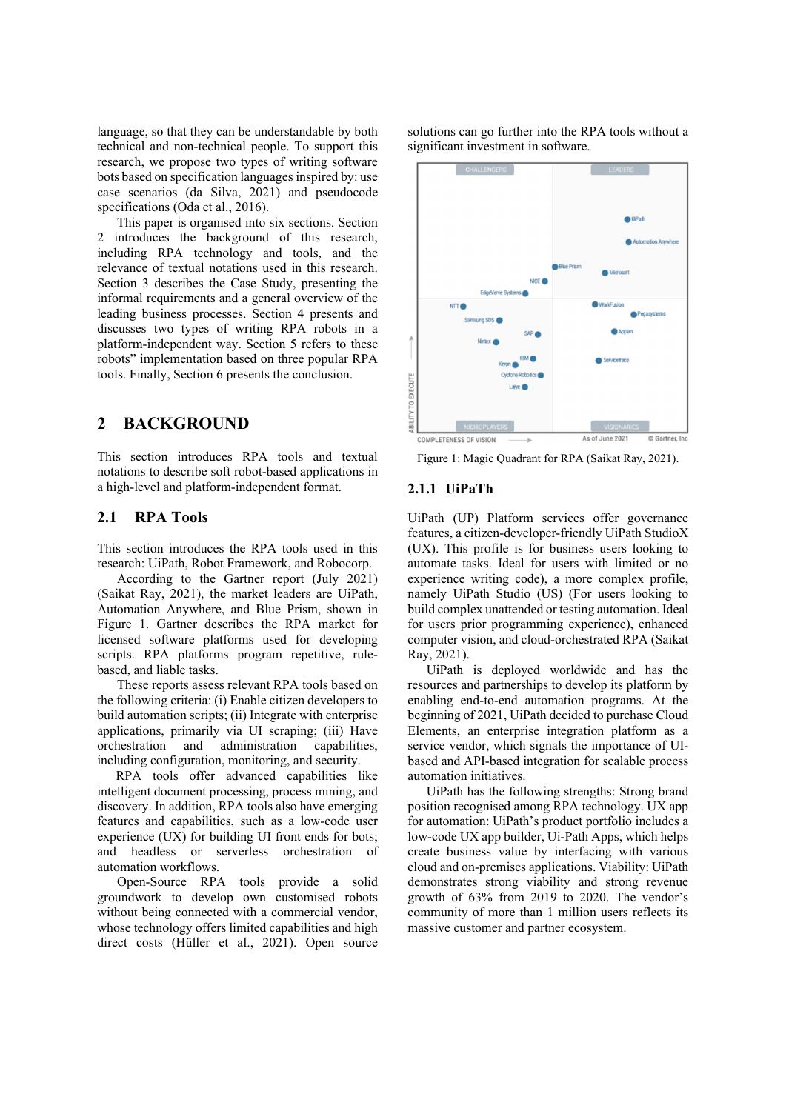language, so that they can be understandable by both technical and non-technical people. To support this research, we propose two types of writing software bots based on specification languages inspired by: use case scenarios (da Silva, 2021) and pseudocode specifications (Oda et al., 2016).

This paper is organised into six sections. Section 2 introduces the background of this research, including RPA technology and tools, and the relevance of textual notations used in this research. Section 3 describes the Case Study, presenting the informal requirements and a general overview of the leading business processes. Section 4 presents and discusses two types of writing RPA robots in a platform-independent way. Section 5 refers to these robots" implementation based on three popular RPA tools. Finally, Section 6 presents the conclusion.

### **2 BACKGROUND**

This section introduces RPA tools and textual notations to describe soft robot-based applications in a high-level and platform-independent format.

### **2.1 RPA Tools**

This section introduces the RPA tools used in this research: UiPath, Robot Framework, and Robocorp.

According to the Gartner report (July 2021) (Saikat Ray, 2021), the market leaders are UiPath, Automation Anywhere, and Blue Prism, shown in Figure 1. Gartner describes the RPA market for licensed software platforms used for developing scripts. RPA platforms program repetitive, rulebased, and liable tasks.

These reports assess relevant RPA tools based on the following criteria: (i) Enable citizen developers to build automation scripts; (ii) Integrate with enterprise applications, primarily via UI scraping; (iii) Have orchestration and administration capabilities, including configuration, monitoring, and security.

RPA tools offer advanced capabilities like intelligent document processing, process mining, and discovery. In addition, RPA tools also have emerging features and capabilities, such as a low-code user experience (UX) for building UI front ends for bots; and headless or serverless orchestration of automation workflows.

Open-Source RPA tools provide a solid groundwork to develop own customised robots without being connected with a commercial vendor, whose technology offers limited capabilities and high direct costs (Hüller et al., 2021). Open source

solutions can go further into the RPA tools without a significant investment in software.



Figure 1: Magic Quadrant for RPA (Saikat Ray, 2021).

#### **2.1.1 UiPaTh**

UiPath (UP) Platform services offer governance features, a citizen-developer-friendly UiPath StudioX (UX). This profile is for business users looking to automate tasks. Ideal for users with limited or no experience writing code), a more complex profile, namely UiPath Studio (US) (For users looking to build complex unattended or testing automation. Ideal for users prior programming experience), enhanced computer vision, and cloud-orchestrated RPA (Saikat Ray, 2021).

UiPath is deployed worldwide and has the resources and partnerships to develop its platform by enabling end-to-end automation programs. At the beginning of 2021, UiPath decided to purchase Cloud Elements, an enterprise integration platform as a service vendor, which signals the importance of UIbased and API-based integration for scalable process automation initiatives.

UiPath has the following strengths: Strong brand position recognised among RPA technology. UX app for automation: UiPath's product portfolio includes a low-code UX app builder, Ui-Path Apps, which helps create business value by interfacing with various cloud and on-premises applications. Viability: UiPath demonstrates strong viability and strong revenue growth of 63% from 2019 to 2020. The vendor's community of more than 1 million users reflects its massive customer and partner ecosystem.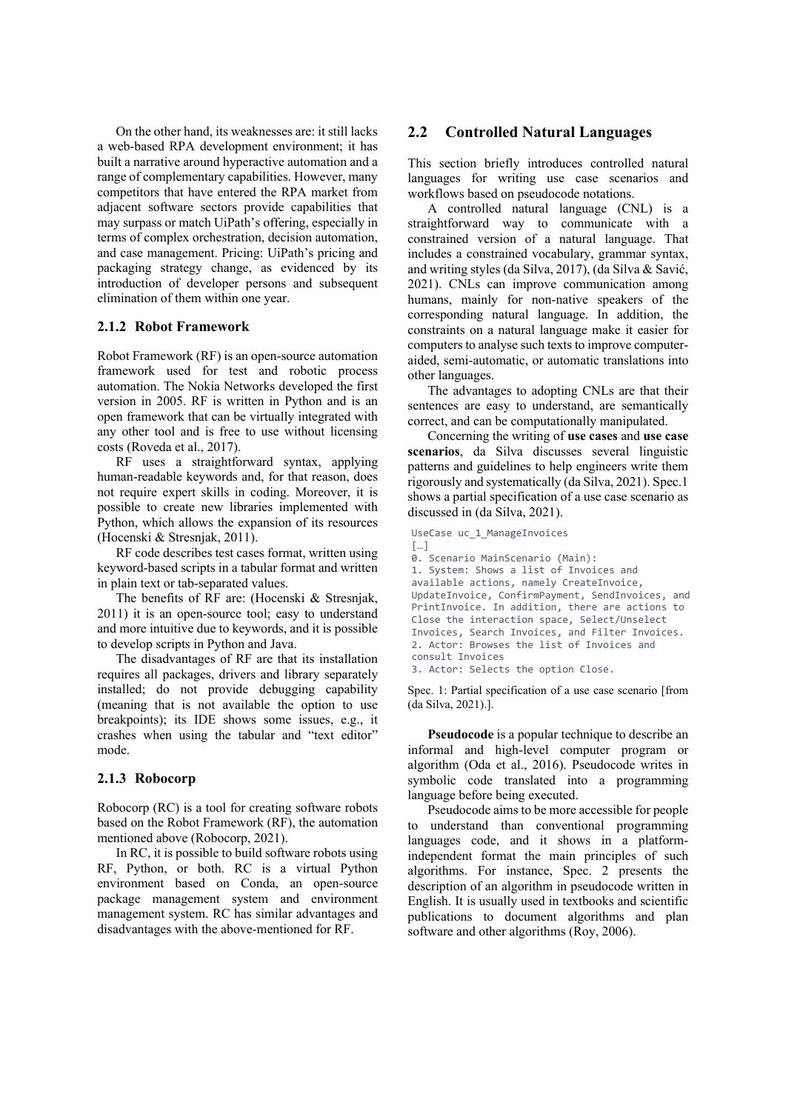On the other hand, its weaknesses are: it still lacks a web-based RPA development environment; it has built a narrative around hyperactive automation and a range of complementary capabilities. However, many competitors that have entered the RPA market from adjacent software sectors provide capabilities that may surpass or match UiPath's offering, especially in terms of complex orchestration, decision automation, and case management. Pricing: UiPath's pricing and packaging strategy change, as evidenced by its introduction of developer persons and subsequent elimination of them within one year.

#### **2.1.2 Robot Framework**

Robot Framework (RF) is an open-source automation framework used for test and robotic process automation. The Nokia Networks developed the first version in 2005. RF is written in Python and is an open framework that can be virtually integrated with any other tool and is free to use without licensing costs (Roveda et al., 2017).

RF uses a straightforward syntax, applying human-readable keywords and, for that reason, does not require expert skills in coding. Moreover, it is possible to create new libraries implemented with Python, which allows the expansion of its resources (Hocenski & Stresnjak, 2011).

RF code describes test cases format, written using keyword-based scripts in a tabular format and written in plain text or tab-separated values.

The benefits of RF are: (Hocenski & Stresnjak, 2011) it is an open-source tool; easy to understand and more intuitive due to keywords, and it is possible to develop scripts in Python and Java.

The disadvantages of RF are that its installation requires all packages, drivers and library separately installed; do not provide debugging capability (meaning that is not available the option to use breakpoints); its IDE shows some issues, e.g., it crashes when using the tabular and "text editor" mode.

### **2.1.3 Robocorp**

Robocorp (RC) is a tool for creating software robots based on the Robot Framework (RF), the automation mentioned above (Robocorp, 2021).

In RC, it is possible to build software robots using RF, Python, or both. RC is a virtual Python environment based on Conda, an open-source package management system and environment management system. RC has similar advantages and disadvantages with the above-mentioned for RF.

#### **2.2 Controlled Natural Languages**

This section briefly introduces controlled natural languages for writing use case scenarios and workflows based on pseudocode notations.

A controlled natural language (CNL) is a straightforward way to communicate with a constrained version of a natural language. That includes a constrained vocabulary, grammar syntax, and writing styles (da Silva, 2017), (da Silva & Savić, 2021). CNLs can improve communication among humans, mainly for non-native speakers of the corresponding natural language. In addition, the constraints on a natural language make it easier for computers to analyse such texts to improve computeraided, semi-automatic, or automatic translations into other languages.

The advantages to adopting CNLs are that their sentences are easy to understand, are semantically correct, and can be computationally manipulated.

Concerning the writing of **use cases** and **use case scenarios**, da Silva discusses several linguistic patterns and guidelines to help engineers write them rigorously and systematically (da Silva, 2021). Spec.1 shows a partial specification of a use case scenario as discussed in (da Silva, 2021).

UseCase uc\_1\_ManageInvoices […] 0. Scenario MainScenario (Main): 1. System: Shows a list of Invoices and available actions, namely CreateInvoice, UpdateInvoice, ConfirmPayment, SendInvoices, and PrintInvoice. In addition, there are actions to Close the interaction space, Select/Unselect Invoices, Search Invoices, and Filter Invoices. 2. Actor: Browses the list of Invoices and consult Invoices 3. Actor: Selects the option Close.

Spec. 1: Partial specification of a use case scenario [from (da Silva, 2021).].

**Pseudocode** is a popular technique to describe an informal and high-level computer program or algorithm (Oda et al., 2016). Pseudocode writes in symbolic code translated into a programming language before being executed.

Pseudocode aims to be more accessible for people to understand than conventional programming languages code, and it shows in a platformindependent format the main principles of such algorithms. For instance, Spec. 2 presents the description of an algorithm in pseudocode written in English. It is usually used in textbooks and scientific publications to document algorithms and plan software and other algorithms (Roy, 2006).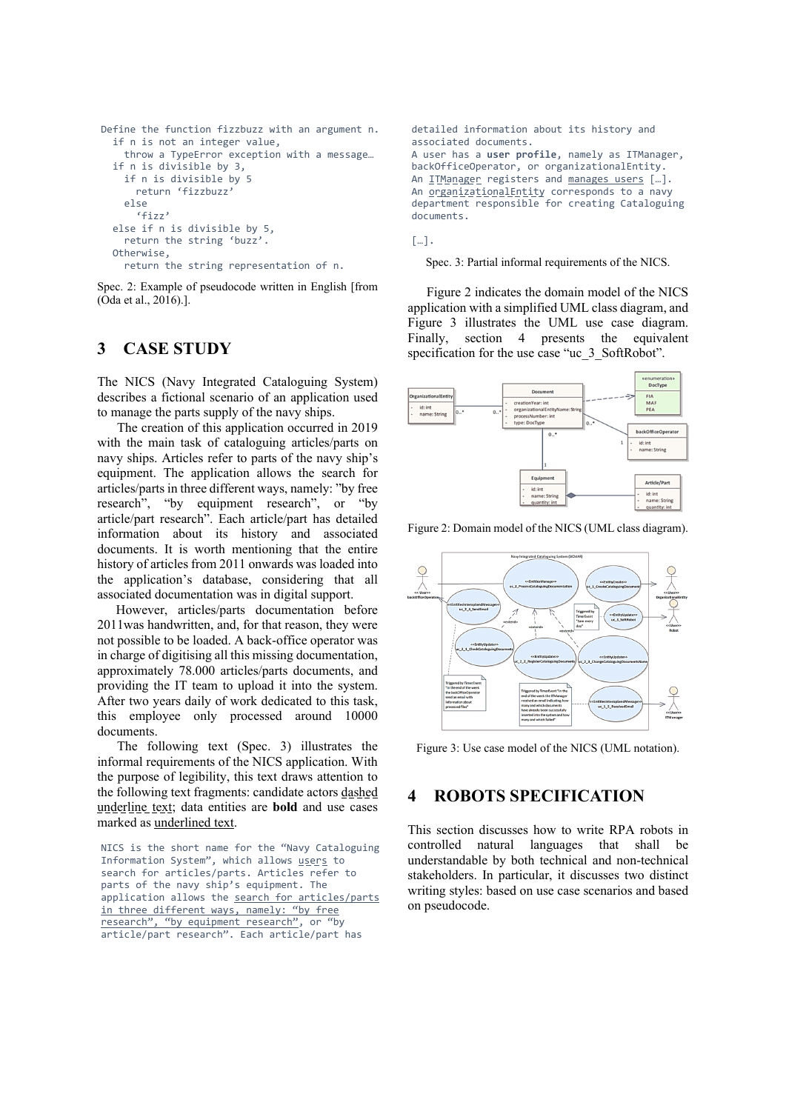```
Define the function fizzbuzz with an argument n. 
   if n is not an integer value, 
     throw a TypeError exception with a message… 
   if n is divisible by 3, 
     if n is divisible by 5 
       return 'fizzbuzz' 
     else 
       'fizz' 
   else if n is divisible by 5, 
     return the string 'buzz'. 
   Otherwise, 
     return the string representation of n.
```
Spec. 2: Example of pseudocode written in English [from (Oda et al., 2016).].

# **3 CASE STUDY**

The NICS (Navy Integrated Cataloguing System) describes a fictional scenario of an application used to manage the parts supply of the navy ships.

The creation of this application occurred in 2019 with the main task of cataloguing articles/parts on navy ships. Articles refer to parts of the navy ship's equipment. The application allows the search for articles/parts in three different ways, namely: "by free research", "by equipment research", or "by article/part research". Each article/part has detailed information about its history and associated documents. It is worth mentioning that the entire history of articles from 2011 onwards was loaded into the application's database, considering that all associated documentation was in digital support.

However, articles/parts documentation before 2011was handwritten, and, for that reason, they were not possible to be loaded. A back-office operator was in charge of digitising all this missing documentation, approximately 78.000 articles/parts documents, and providing the IT team to upload it into the system. After two years daily of work dedicated to this task, this employee only processed around 10000 documents.

The following text (Spec. 3) illustrates the informal requirements of the NICS application. With the purpose of legibility, this text draws attention to the following text fragments: candidate actors dashed underline text; data entities are **bold** and use cases marked as underlined text.

NICS is the short name for the "Navy Cataloguing Information System", which allows users to search for articles/parts. Articles refer to parts of the navy ship's equipment. The application allows the search for articles/parts in three different ways, namely: "by free research", "by equipment research", or "by article/part research". Each article/part has

```
detailed information about its history and 
associated documents. 
A user has a user profile, namely as ITManager, 
backOfficeOperator, or organizationalEntity. 
An ITManager registers and manages users [...].
An organizationalEntity corresponds to a navy
department responsible for creating Cataloguing 
documents.
```
[…].

Spec. 3: Partial informal requirements of the NICS.

Figure 2 indicates the domain model of the NICS application with a simplified UML class diagram, and Figure 3 illustrates the UML use case diagram. Finally, section 4 presents the equivalent specification for the use case "uc\_3\_SoftRobot".



Figure 2: Domain model of the NICS (UML class diagram).



Figure 3: Use case model of the NICS (UML notation).

# **4 ROBOTS SPECIFICATION**

This section discusses how to write RPA robots in controlled natural languages that shall be understandable by both technical and non-technical stakeholders. In particular, it discusses two distinct writing styles: based on use case scenarios and based on pseudocode.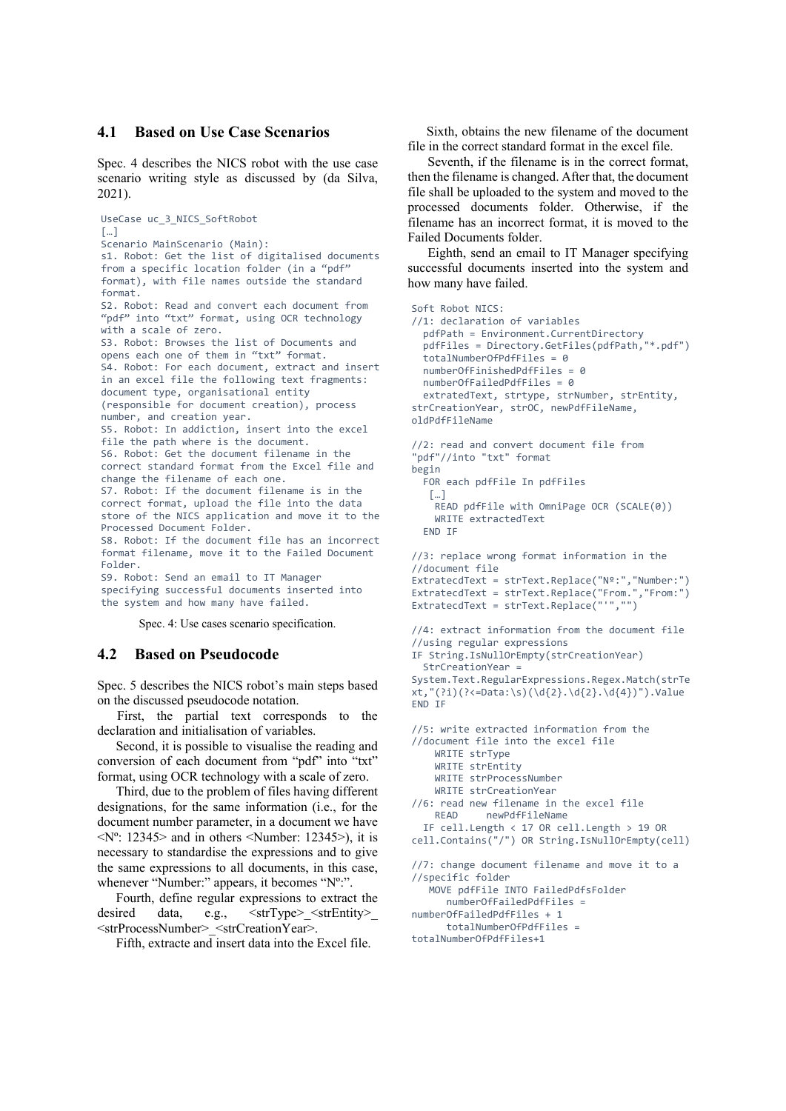#### **4.1 Based on Use Case Scenarios**

Spec. 4 describes the NICS robot with the use case scenario writing style as discussed by (da Silva, 2021).

```
UseCase uc_3_NICS_SoftRobot 
\lceil \dots \rceilScenario MainScenario (Main): 
s1. Robot: Get the list of digitalised documents 
from a specific location folder (in a "pdf"
format), with file names outside the standard 
format. 
S2. Robot: Read and convert each document from 
"pdf" into "txt" format, using OCR technology 
with a scale of zero. 
S3. Robot: Browses the list of Documents and 
opens each one of them in "txt" format. 
S4. Robot: For each document, extract and insert 
in an excel file the following text fragments: 
document type, organisational entity 
(responsible for document creation), process 
number, and creation year. 
S5. Robot: In addiction, insert into the excel 
file the path where is the document. 
S6. Robot: Get the document filename in the 
correct standard format from the Excel file and 
change the filename of each one. 
S7. Robot: If the document filename is in the 
correct format, upload the file into the data 
store of the NICS application and move it to the 
Processed Document Folder. 
S8. Robot: If the document file has an incorrect 
format filename, move it to the Failed Document 
Folder. 
S9. Robot: Send an email to IT Manager 
specifying successful documents inserted into 
the system and how many have failed.
```
Spec. 4: Use cases scenario specification.

#### **4.2 Based on Pseudocode**

Spec. 5 describes the NICS robot's main steps based on the discussed pseudocode notation.

First, the partial text corresponds to the declaration and initialisation of variables.

Second, it is possible to visualise the reading and conversion of each document from "pdf" into "txt" format, using OCR technology with a scale of zero.

Third, due to the problem of files having different designations, for the same information (i.e., for the document number parameter, in a document we have  $\langle N^{\circ}$ : 12345 and in others  $\langle N$ umber: 12345 >), it is necessary to standardise the expressions and to give the same expressions to all documents, in this case, whenever "Number:" appears, it becomes "Nº:".

Fourth, define regular expressions to extract the desired data, e.g.,  $\leq$ strType $\geq$   $\leq$ strEntity $\geq$ <strProcessNumber>\_<strCreationYear>.

Fifth, extracte and insert data into the Excel file.

Sixth, obtains the new filename of the document file in the correct standard format in the excel file.

Seventh, if the filename is in the correct format, then the filename is changed. After that, the document file shall be uploaded to the system and moved to the processed documents folder. Otherwise, if the filename has an incorrect format, it is moved to the Failed Documents folder.

Eighth, send an email to IT Manager specifying successful documents inserted into the system and how many have failed.

```
Soft Robot NICS: 
//1: declaration of variables 
   pdfPath = Environment.CurrentDirectory 
   pdfFiles = Directory.GetFiles(pdfPath,"*.pdf") 
   totalNumberOfPdfFiles = 0 
   numberOfFinishedPdfFiles = 0 
   numberOfFailedPdfFiles = 0 
   extratedText, strtype, strNumber, strEntity, 
strCreationYear, strOC, newPdfFileName, 
oldPdfFileName 
//2: read and convert document file from 
"pdf"//into "txt" format 
begin 
   FOR each pdfFile In pdfFiles 
   \lceil \dots \rceil READ pdfFile with OmniPage OCR (SCALE(0)) 
     WRITE extractedText 
   END IF 
//3: replace wrong format information in the 
//document file 
ExtratecdText = strText.Replace("Nº:","Number:") 
ExtratecdText = strText.Replace("From.","From:") 
ExtratecdText = strText.Replace("'","") 
//4: extract information from the document file 
//using regular expressions 
IF String.IsNullOrEmpty(strCreationYear) 
   StrCreationYear = 
System.Text.RegularExpressions.Regex.Match(strTe
xt,"(?i)(?<=Data:\s)(\d{2}.\d{2}.\d{4})").Value 
END IF 
//5: write extracted information from the 
//document file into the excel file 
     WRITE strType 
     WRITE strEntity 
     WRITE strProcessNumber 
     WRITE strCreationYear 
//6: read new filename in the excel file 
             newPdfFileName
   IF cell.Length < 17 OR cell.Length > 19 OR 
cell.Contains("/") OR String.IsNullOrEmpty(cell) 
//7: change document filename and move it to a 
//specific folder 
   .<br>MOVE pdfFile INTO FailedPdfsFolder
       numberOfFailedPdfFiles = 
numberOfFailedPdfFiles + 1 
       totalNumberOfPdfFiles = 
totalNumberOfPdfFiles+1
```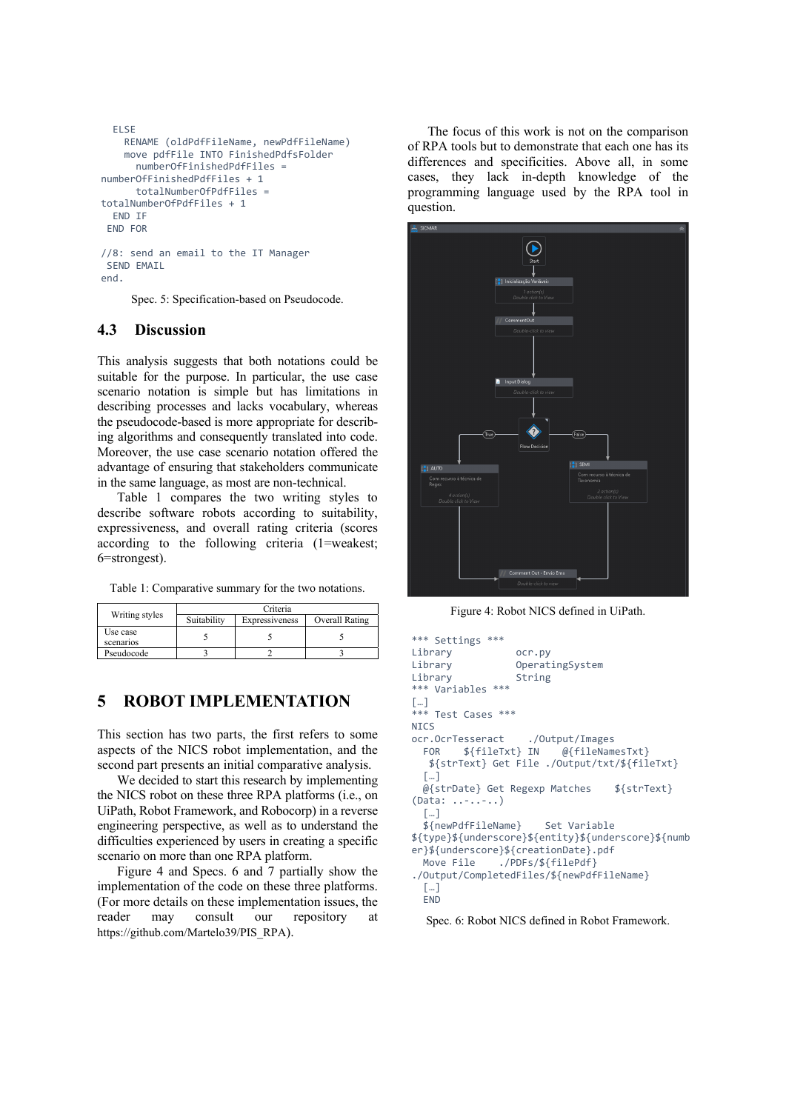```
 ELSE 
     RENAME (oldPdfFileName, newPdfFileName) 
     move pdfFile INTO FinishedPdfsFolder 
       numberOfFinishedPdfFiles = 
numberOfFinishedPdfFiles + 1 
       totalNumberOfPdfFiles = 
totalNumberOfPdfFiles + 1 
   END IF 
  END FOR 
//8: send an email to the IT Manager 
 SEND EMAIL
```
end.

Spec. 5: Specification-based on Pseudocode.

### **4.3 Discussion**

This analysis suggests that both notations could be suitable for the purpose. In particular, the use case scenario notation is simple but has limitations in describing processes and lacks vocabulary, whereas the pseudocode-based is more appropriate for describing algorithms and consequently translated into code. Moreover, the use case scenario notation offered the advantage of ensuring that stakeholders communicate in the same language, as most are non-technical.

Table 1 compares the two writing styles to describe software robots according to suitability, expressiveness, and overall rating criteria (scores according to the following criteria (1=weakest; 6=strongest).

Table 1: Comparative summary for the two notations.

| Writing styles        | Criteria    |                |                |  |
|-----------------------|-------------|----------------|----------------|--|
|                       | Suitability | Expressiveness | Overall Rating |  |
| Use case<br>scenarios |             |                |                |  |
| Pseudocode            |             |                |                |  |

# **5 ROBOT IMPLEMENTATION**

This section has two parts, the first refers to some aspects of the NICS robot implementation, and the second part presents an initial comparative analysis.

We decided to start this research by implementing the NICS robot on these three RPA platforms (i.e., on UiPath, Robot Framework, and Robocorp) in a reverse engineering perspective, as well as to understand the difficulties experienced by users in creating a specific scenario on more than one RPA platform.

Figure 4 and Specs. 6 and 7 partially show the implementation of the code on these three platforms. (For more details on these implementation issues, the reader may consult our repository at https://github.com/Martelo39/PIS\_RPA).

The focus of this work is not on the comparison of RPA tools but to demonstrate that each one has its differences and specificities. Above all, in some cases, they lack in-depth knowledge of the programming language used by the RPA tool in question.



Figure 4: Robot NICS defined in UiPath.

```
*** Settings *** 
Library ocr.py 
Library OperatingSystem 
Library String
*** Variables *** 
\left[\begin{smallmatrix} \dots \end{smallmatrix}\right]*** Test Cases *** 
NICS
ocr.OcrTesseract ./Output/Images<br>FOR ${fileTxt} IN @{fileNam
  FOR ${fileTxt} IN @{fileNamesTxt}
    ${strText} Get File ./Output/txt/${fileTxt} 
   […] 
   @{strDate} Get Regexp Matches ${strText} 
(Data: ..-..-..) 
   […] 
   ${newPdfFileName} Set Variable 
${type}${underscore}${entity}${underscore}${numb
er}${underscore}${creationDate}.pdf<br>Move File ./PDFs/${filePdf}
                 ./PDFs/${filePdf}
./Output/CompletedFiles/${newPdfFileName} 
   […] 
   END
```
Spec. 6: Robot NICS defined in Robot Framework.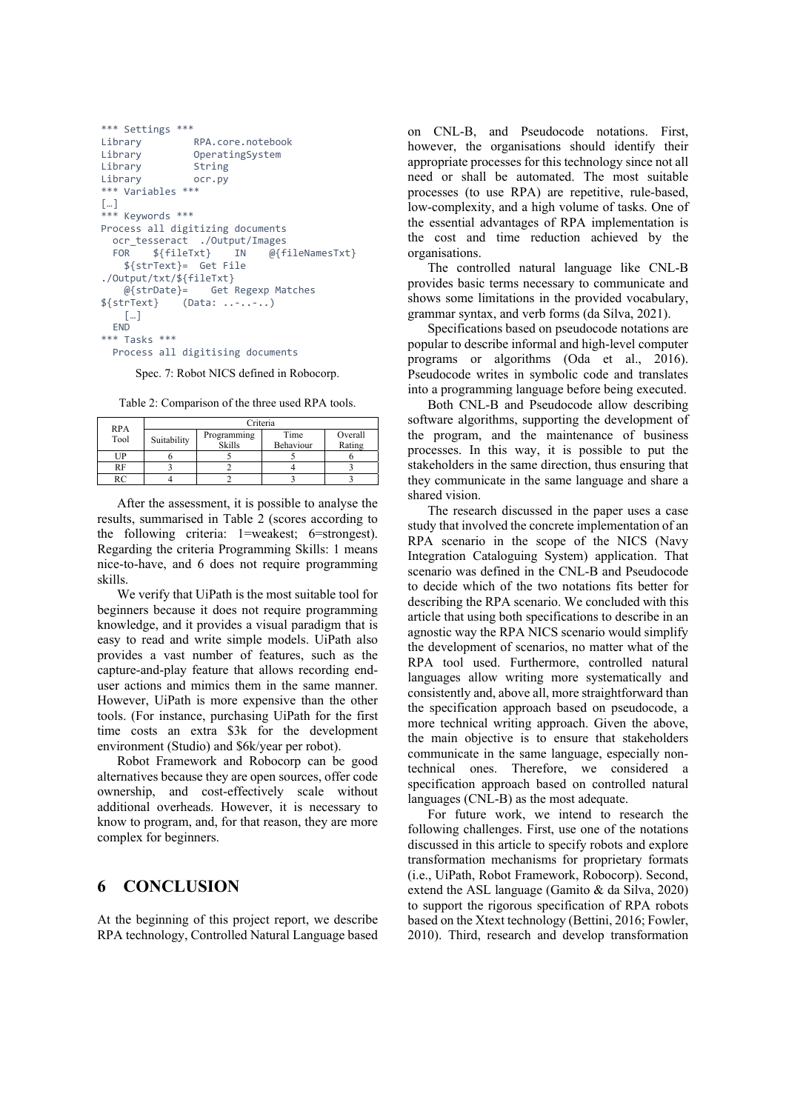```
*** Settings *** 
                RPA.core.notebook
Library OperatingSystem<br>Library String
Library
Library ocr.py 
*** Variables *** 
[…] 
*** Keywords *** 
Process all digitizing documents 
   ocr_tesseract ./Output/Images 
   FOR ${fileTxt} IN @{fileNamesTxt} 
     ${strText}= Get File 
./Output/txt/${fileTxt} 
     @{strDate}= Get Regexp Matches 
${strText} (Data: ..-..-..) 
     […] 
  END
*** Tasks *** 
   Process all digitising documents
```
Spec. 7: Robot NICS defined in Robocorp.

Table 2: Comparison of the three used RPA tools.

| <b>RPA</b> | Criteria    |               |           |         |  |
|------------|-------------|---------------|-----------|---------|--|
| Tool       | Suitability | Programming   | Time      | Overall |  |
|            |             | <b>Skills</b> | Behaviour | Rating  |  |
| UP         |             |               |           |         |  |
| <b>RF</b>  |             |               |           |         |  |
| RC         |             |               |           |         |  |

After the assessment, it is possible to analyse the results, summarised in Table 2 (scores according to the following criteria: 1=weakest; 6=strongest). Regarding the criteria Programming Skills: 1 means nice-to-have, and 6 does not require programming skills.

We verify that UiPath is the most suitable tool for beginners because it does not require programming knowledge, and it provides a visual paradigm that is easy to read and write simple models. UiPath also provides a vast number of features, such as the capture-and-play feature that allows recording enduser actions and mimics them in the same manner. However, UiPath is more expensive than the other tools. (For instance, purchasing UiPath for the first time costs an extra \$3k for the development environment (Studio) and \$6k/year per robot).

Robot Framework and Robocorp can be good alternatives because they are open sources, offer code ownership, and cost-effectively scale without additional overheads. However, it is necessary to know to program, and, for that reason, they are more complex for beginners.

### **6 CONCLUSION**

At the beginning of this project report, we describe RPA technology, Controlled Natural Language based

on CNL-B, and Pseudocode notations. First, however, the organisations should identify their appropriate processes for this technology since not all need or shall be automated. The most suitable processes (to use RPA) are repetitive, rule-based, low-complexity, and a high volume of tasks. One of the essential advantages of RPA implementation is the cost and time reduction achieved by the organisations.

The controlled natural language like CNL-B provides basic terms necessary to communicate and shows some limitations in the provided vocabulary, grammar syntax, and verb forms (da Silva, 2021).

Specifications based on pseudocode notations are popular to describe informal and high-level computer programs or algorithms (Oda et al., 2016). Pseudocode writes in symbolic code and translates into a programming language before being executed.

Both CNL-B and Pseudocode allow describing software algorithms, supporting the development of the program, and the maintenance of business processes. In this way, it is possible to put the stakeholders in the same direction, thus ensuring that they communicate in the same language and share a shared vision.

The research discussed in the paper uses a case study that involved the concrete implementation of an RPA scenario in the scope of the NICS (Navy Integration Cataloguing System) application. That scenario was defined in the CNL-B and Pseudocode to decide which of the two notations fits better for describing the RPA scenario. We concluded with this article that using both specifications to describe in an agnostic way the RPA NICS scenario would simplify the development of scenarios, no matter what of the RPA tool used. Furthermore, controlled natural languages allow writing more systematically and consistently and, above all, more straightforward than the specification approach based on pseudocode, a more technical writing approach. Given the above, the main objective is to ensure that stakeholders communicate in the same language, especially nontechnical ones. Therefore, we considered a specification approach based on controlled natural languages (CNL-B) as the most adequate.

For future work, we intend to research the following challenges. First, use one of the notations discussed in this article to specify robots and explore transformation mechanisms for proprietary formats (i.e., UiPath, Robot Framework, Robocorp). Second, extend the ASL language (Gamito & da Silva, 2020) to support the rigorous specification of RPA robots based on the Xtext technology (Bettini, 2016; Fowler, 2010). Third, research and develop transformation